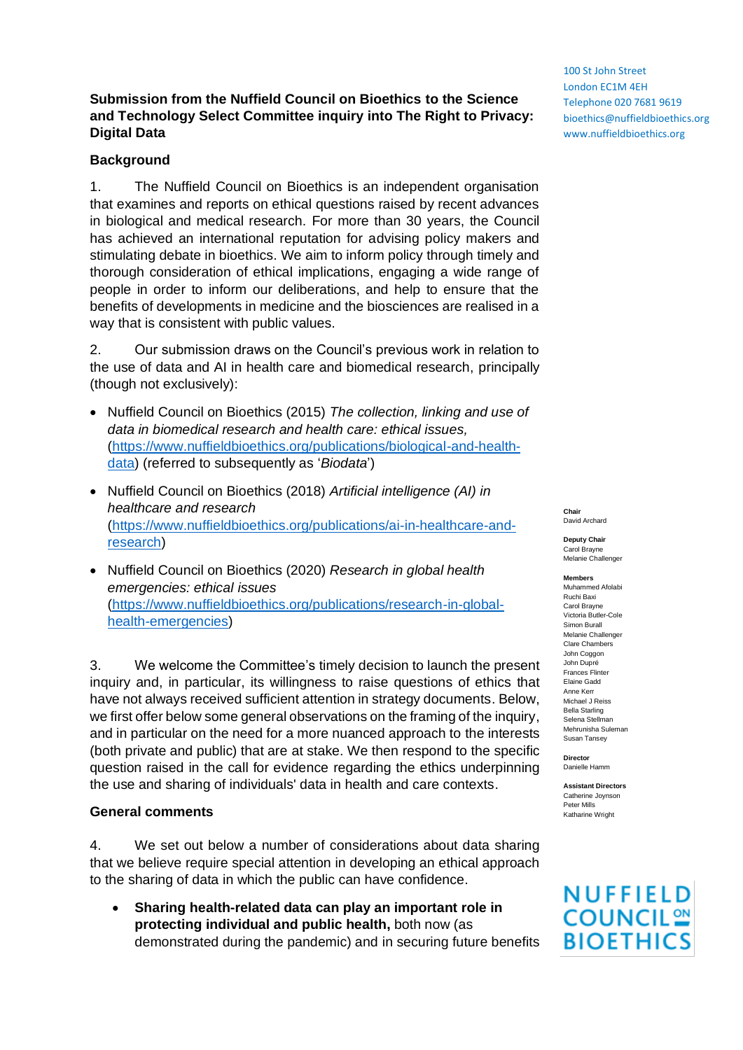## **Submission from the Nuffield Council on Bioethics to the Science and Technology Select Committee inquiry into The Right to Privacy: Digital Data**

### **Background**

1. The Nuffield Council on Bioethics is an independent organisation that examines and reports on ethical questions raised by recent advances in biological and medical research. For more than 30 years, the Council has achieved an international reputation for advising policy makers and stimulating debate in bioethics. We aim to inform policy through timely and thorough consideration of ethical implications, engaging a wide range of people in order to inform our deliberations, and help to ensure that the benefits of developments in medicine and the biosciences are realised in a way that is consistent with public values.

2. Our submission draws on the Council's previous work in relation to the use of data and AI in health care and biomedical research, principally (though not exclusively):

- Nuffield Council on Bioethics (2015) *The collection, linking and use of data in biomedical research and health care: ethical issues,*  [\(https://www.nuffieldbioethics.org/publications/biological-and-health](https://www.nuffieldbioethics.org/publications/biological-and-health-data)[data\)](https://www.nuffieldbioethics.org/publications/biological-and-health-data) (referred to subsequently as '*Biodata*')
- Nuffield Council on Bioethics (2018) *Artificial intelligence (AI) in healthcare and research* [\(https://www.nuffieldbioethics.org/publications/ai-in-healthcare-and](https://www.nuffieldbioethics.org/publications/ai-in-healthcare-and-research)[research\)](https://www.nuffieldbioethics.org/publications/ai-in-healthcare-and-research)
- Nuffield Council on Bioethics (2020) *Research in global health emergencies: ethical issues* [\(https://www.nuffieldbioethics.org/publications/research-in-global](https://www.nuffieldbioethics.org/publications/research-in-global-health-emergencies)[health-emergencies\)](https://www.nuffieldbioethics.org/publications/research-in-global-health-emergencies)

3. We welcome the Committee's timely decision to launch the present inquiry and, in particular, its willingness to raise questions of ethics that have not always received sufficient attention in strategy documents. Below, we first offer below some general observations on the framing of the inquiry, and in particular on the need for a more nuanced approach to the interests (both private and public) that are at stake. We then respond to the specific question raised in the call for evidence regarding the ethics underpinning the use and sharing of individuals' data in health and care contexts.

#### **General comments**

4. We set out below a number of considerations about data sharing that we believe require special attention in developing an ethical approach to the sharing of data in which the public can have confidence.

• **Sharing health-related data can play an important role in protecting individual and public health,** both now (as demonstrated during the pandemic) and in securing future benefits

100 St John Street London EC1M 4EH Telephone 020 7681 9619 bioethics@nuffieldbioethics.org www.nuffieldbioethics.org

**Chair** David Archard

**Deputy Chair** Carol Brayne Melanie Challenger

**Members**

Muhammed Afolabi Ruchi Baxi Carol Brayne Victoria Butler-Cole Simon Burall Melanie Challenger Clare Chambers John Coggon John Dupré Frances Flinter Elaine Gadd Anne Kerr Michael J Reiss Bella Starling Selena Stellman Mehrunisha Suleman Susan Tansey

**Director** Danielle Hamm

**Assistant Directors** Catherine Joynson Peter Mills Katharine Wright

# NUFFIELD **COUNCIL<sup>2</sup> BIOETHICS**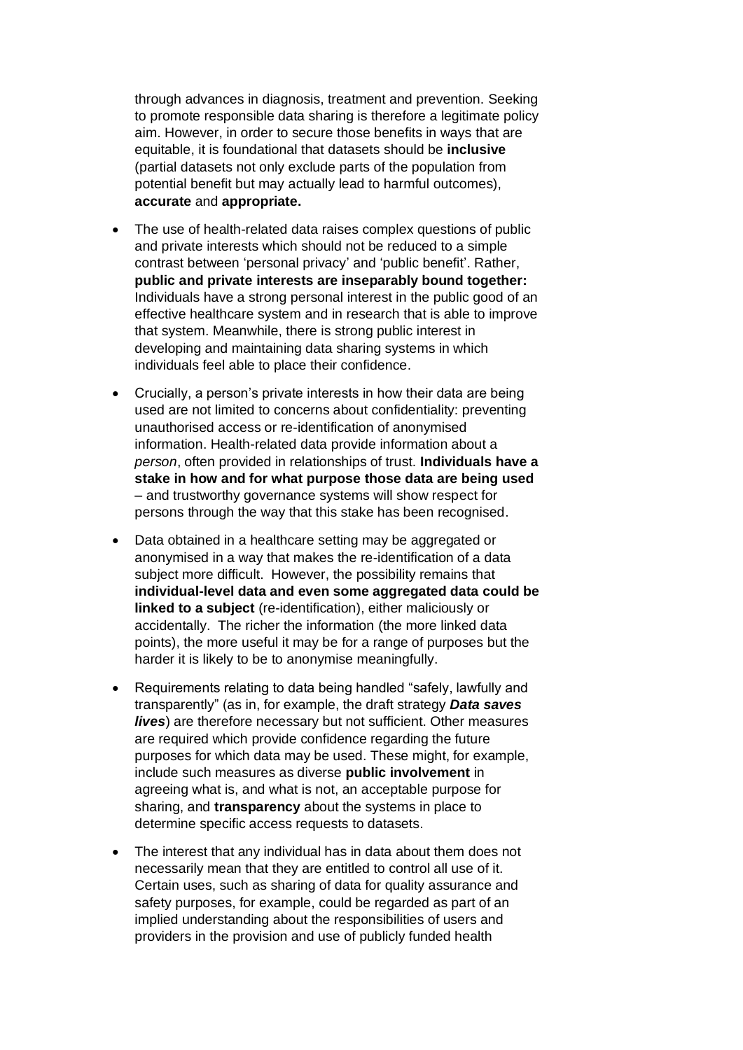through advances in diagnosis, treatment and prevention. Seeking to promote responsible data sharing is therefore a legitimate policy aim. However, in order to secure those benefits in ways that are equitable, it is foundational that datasets should be **inclusive** (partial datasets not only exclude parts of the population from potential benefit but may actually lead to harmful outcomes), **accurate** and **appropriate.**

- The use of health-related data raises complex questions of public and private interests which should not be reduced to a simple contrast between 'personal privacy' and 'public benefit'. Rather, **public and private interests are inseparably bound together:**  Individuals have a strong personal interest in the public good of an effective healthcare system and in research that is able to improve that system. Meanwhile, there is strong public interest in developing and maintaining data sharing systems in which individuals feel able to place their confidence.
- Crucially, a person's private interests in how their data are being used are not limited to concerns about confidentiality: preventing unauthorised access or re-identification of anonymised information. Health-related data provide information about a *person*, often provided in relationships of trust. **Individuals have a stake in how and for what purpose those data are being used** – and trustworthy governance systems will show respect for persons through the way that this stake has been recognised.
- Data obtained in a healthcare setting may be aggregated or anonymised in a way that makes the re-identification of a data subject more difficult. However, the possibility remains that **individual-level data and even some aggregated data could be linked to a subject** (re-identification), either maliciously or accidentally. The richer the information (the more linked data points), the more useful it may be for a range of purposes but the harder it is likely to be to anonymise meaningfully.
- Requirements relating to data being handled "safely, lawfully and transparently" (as in, for example, the draft strategy *Data saves lives*) are therefore necessary but not sufficient. Other measures are required which provide confidence regarding the future purposes for which data may be used. These might, for example, include such measures as diverse **public involvement** in agreeing what is, and what is not, an acceptable purpose for sharing, and **transparency** about the systems in place to determine specific access requests to datasets.
- The interest that any individual has in data about them does not necessarily mean that they are entitled to control all use of it. Certain uses, such as sharing of data for quality assurance and safety purposes, for example, could be regarded as part of an implied understanding about the responsibilities of users and providers in the provision and use of publicly funded health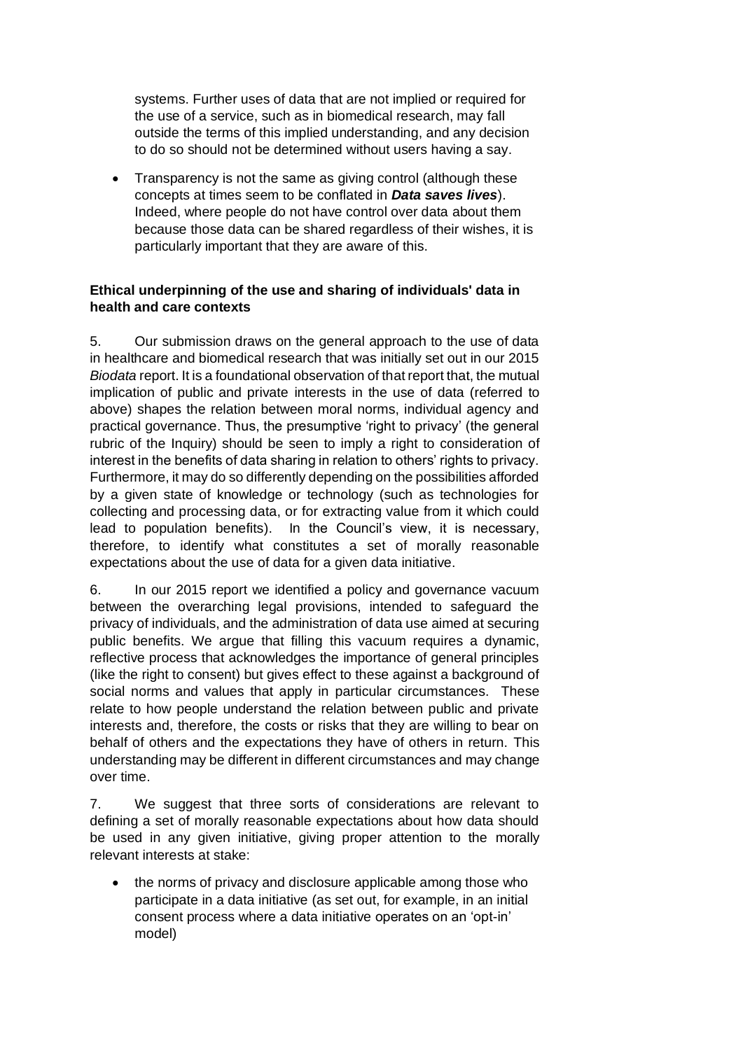systems. Further uses of data that are not implied or required for the use of a service, such as in biomedical research, may fall outside the terms of this implied understanding, and any decision to do so should not be determined without users having a say.

• Transparency is not the same as giving control (although these concepts at times seem to be conflated in *Data saves lives*). Indeed, where people do not have control over data about them because those data can be shared regardless of their wishes, it is particularly important that they are aware of this.

### **Ethical underpinning of the use and sharing of individuals' data in health and care contexts**

5. Our submission draws on the general approach to the use of data in healthcare and biomedical research that was initially set out in our 2015 *Biodata* report. It is a foundational observation of that report that, the mutual implication of public and private interests in the use of data (referred to above) shapes the relation between moral norms, individual agency and practical governance. Thus, the presumptive 'right to privacy' (the general rubric of the Inquiry) should be seen to imply a right to consideration of interest in the benefits of data sharing in relation to others' rights to privacy. Furthermore, it may do so differently depending on the possibilities afforded by a given state of knowledge or technology (such as technologies for collecting and processing data, or for extracting value from it which could lead to population benefits). In the Council's view, it is necessary, therefore, to identify what constitutes a set of morally reasonable expectations about the use of data for a given data initiative.

6. In our 2015 report we identified a policy and governance vacuum between the overarching legal provisions, intended to safeguard the privacy of individuals, and the administration of data use aimed at securing public benefits. We argue that filling this vacuum requires a dynamic, reflective process that acknowledges the importance of general principles (like the right to consent) but gives effect to these against a background of social norms and values that apply in particular circumstances. These relate to how people understand the relation between public and private interests and, therefore, the costs or risks that they are willing to bear on behalf of others and the expectations they have of others in return. This understanding may be different in different circumstances and may change over time.

7. We suggest that three sorts of considerations are relevant to defining a set of morally reasonable expectations about how data should be used in any given initiative, giving proper attention to the morally relevant interests at stake:

• the norms of privacy and disclosure applicable among those who participate in a data initiative (as set out, for example, in an initial consent process where a data initiative operates on an 'opt-in' model)